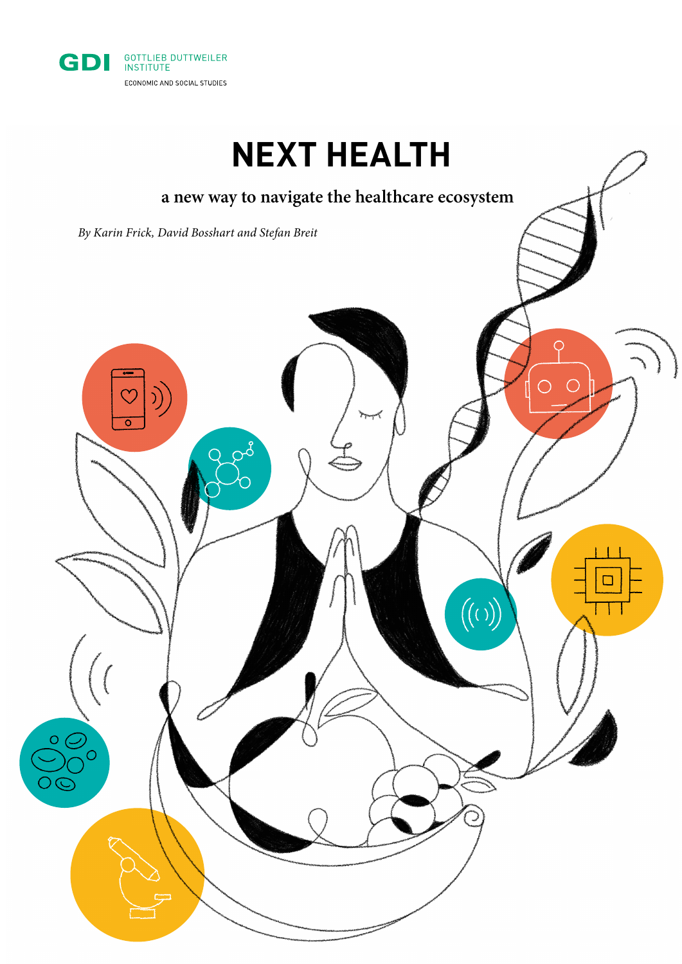

## **NEXT HEALTH**

# **a new way to navigate the healthcare ecosystem** *By Karin Frick, David Bosshart and Stefan Breit* $\Box$  $((\circ))$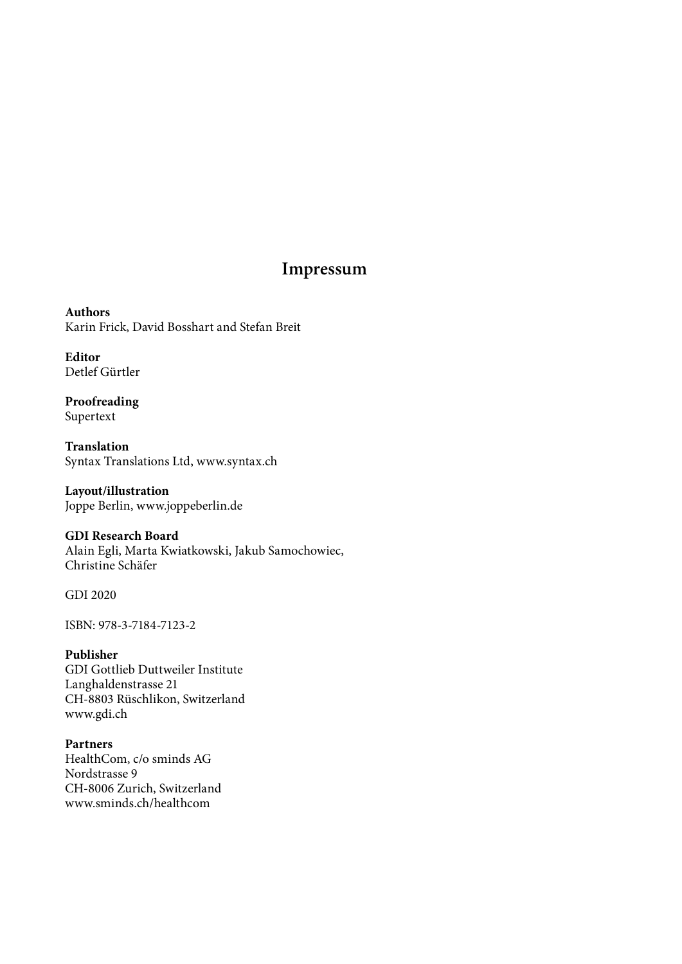#### **Impressum**

**Authors** Karin Frick, David Bosshart and Stefan Breit

**Editor** Detlef Gürtler

**Proofreading** Supertext

**Translation** Syntax Translations Ltd, [www.syntax.ch](http://www.syntax.ch)

**Layout/illustration** Joppe Berlin, [www.joppeberlin.de](http://www.joppeberlin.de)

#### **GDI Research Board**

Alain Egli, Marta Kwiatkowski, Jakub Samochowiec, Christine Schäfer

GDI 2020

ISBN: 978-3-7184-7123-2

#### **Publisher**

GDI Gottlieb Duttweiler Institute Langhaldenstrasse 21 CH-8803 Rüschlikon, Switzerland [www.gdi.ch](http://www.gdi.ch)

#### **Partners**

HealthCom, c/o sminds AG Nordstrasse 9 CH-8006 Zurich, Switzerland [www.sminds.ch/healthcom](http://www.sminds.ch/healthcom)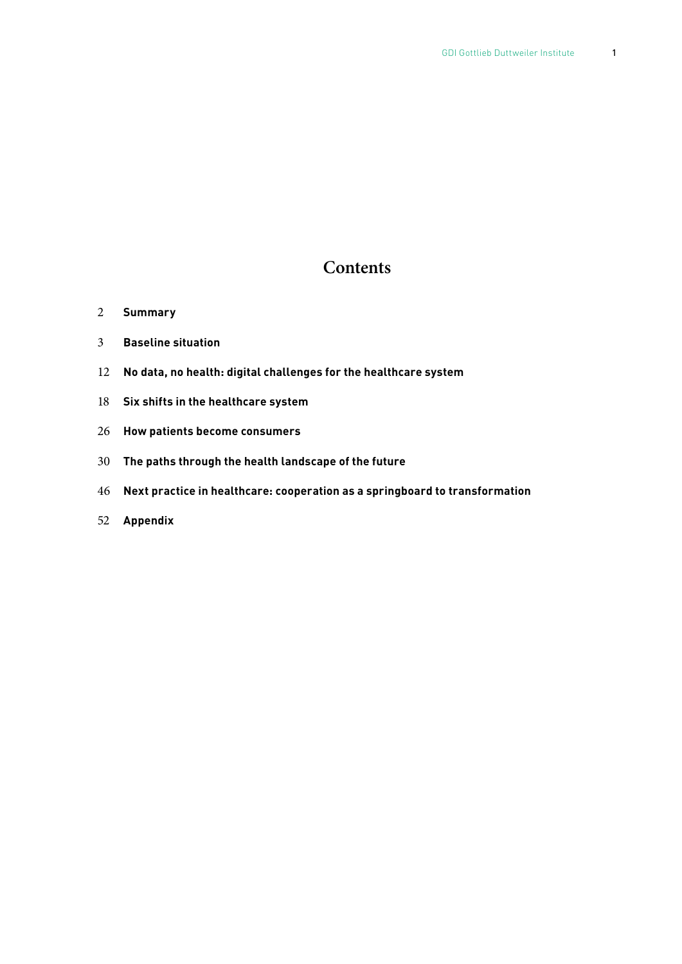#### **Contents**

- **Summary**
- **Baseline situation**
- **No data, no health: digital challenges for the healthcare system**
- **Six shifts in the healthcare system**
- **How patients become consumers**
- **The paths through the health landscape of the future**
- **Next practice in healthcare: cooperation as a springboard to transformation**
- **Appendix**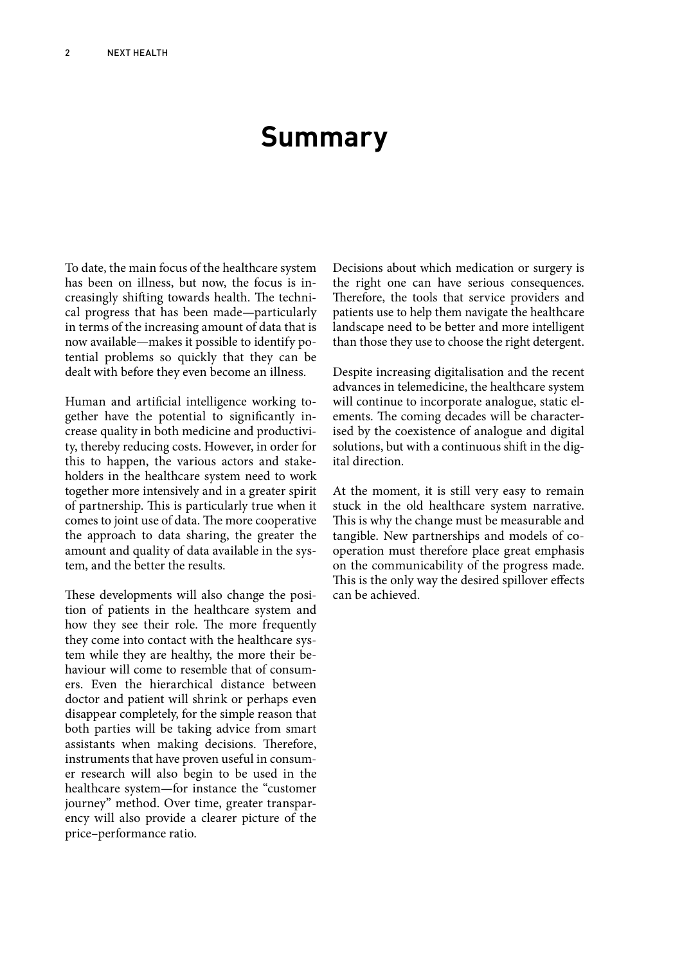### **Summary**

To date, the main focus of the healthcare system has been on illness, but now, the focus is increasingly shifting towards health. The technical progress that has been made—particularly in terms of the increasing amount of data that is now available—makes it possible to identify potential problems so quickly that they can be dealt with before they even become an illness.

Human and artificial intelligence working together have the potential to significantly increase quality in both medicine and productivity, thereby reducing costs. However, in order for this to happen, the various actors and stakeholders in the healthcare system need to work together more intensively and in a greater spirit of partnership. This is particularly true when it comes to joint use of data. The more cooperative the approach to data sharing, the greater the amount and quality of data available in the system, and the better the results.

These developments will also change the position of patients in the healthcare system and how they see their role. The more frequently they come into contact with the healthcare system while they are healthy, the more their behaviour will come to resemble that of consumers. Even the hierarchical distance between doctor and patient will shrink or perhaps even disappear completely, for the simple reason that both parties will be taking advice from smart assistants when making decisions. Therefore, instruments that have proven useful in consumer research will also begin to be used in the healthcare system—for instance the "customer journey" method. Over time, greater transparency will also provide a clearer picture of the price–performance ratio.

Decisions about which medication or surgery is the right one can have serious consequences. Therefore, the tools that service providers and patients use to help them navigate the healthcare landscape need to be better and more intelligent than those they use to choose the right detergent.

Despite increasing digitalisation and the recent advances in telemedicine, the healthcare system will continue to incorporate analogue, static elements. The coming decades will be characterised by the coexistence of analogue and digital solutions, but with a continuous shift in the digital direction.

At the moment, it is still very easy to remain stuck in the old healthcare system narrative. This is why the change must be measurable and tangible. New partnerships and models of cooperation must therefore place great emphasis on the communicability of the progress made. This is the only way the desired spillover effects can be achieved.